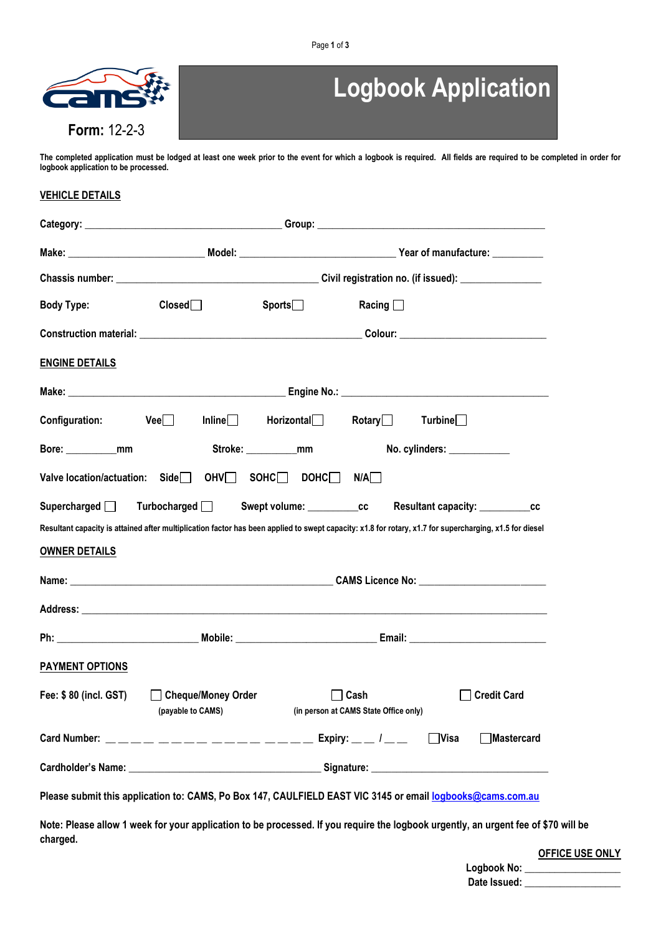

# **Logbook Application**

**The completed application must be lodged at least one week prior to the event for which a logbook is required. All fields are required to be completed in order for logbook application to be processed.** 

## **VEHICLE DETAILS**

| <b>Body Type:</b>      | $\mathsf{Closed}$                                                                                                                                       | ${\sf Sports} \_$ | Racing $\Box$ |                             |                    |
|------------------------|---------------------------------------------------------------------------------------------------------------------------------------------------------|-------------------|---------------|-----------------------------|--------------------|
|                        |                                                                                                                                                         |                   |               |                             |                    |
| <b>ENGINE DETAILS</b>  |                                                                                                                                                         |                   |               |                             |                    |
|                        |                                                                                                                                                         |                   |               |                             |                    |
|                        | $\textsf{Configuration:}$ $\textsf{Vee}$ Inline Horizontal Rotary                                                                                       |                   |               | Turbine                     |                    |
| Bore: mm               |                                                                                                                                                         | Stroke: mm        |               | No. cylinders: ____________ |                    |
|                        |                                                                                                                                                         |                   | N/A           |                             |                    |
|                        | Supercharged Turbocharged Swept volume: CC Resultant capacity: CCC                                                                                      |                   |               |                             |                    |
|                        | Resultant capacity is attained after multiplication factor has been applied to swept capacity: x1.8 for rotary, x1.7 for supercharging, x1.5 for diesel |                   |               |                             |                    |
| <b>OWNER DETAILS</b>   |                                                                                                                                                         |                   |               |                             |                    |
|                        |                                                                                                                                                         |                   |               |                             |                    |
|                        |                                                                                                                                                         |                   |               |                             |                    |
|                        |                                                                                                                                                         |                   |               |                             |                    |
| <b>PAYMENT OPTIONS</b> |                                                                                                                                                         |                   |               |                             |                    |
|                        | Fee: \$80 (incl. GST) Cheque/Money Order<br>(payable to CAMS) (in person at CAMS State Office only)                                                     | $\mathbf{I}$      | Cash          |                             | <b>Credit Card</b> |
|                        | Card Number: ________________________________ Expiry: __ /__                                                                                            |                   |               | $\Box$ Visa                 | <b>■Mastercard</b> |
|                        |                                                                                                                                                         |                   |               |                             |                    |
|                        | Please submit this application to: CAMS, Po Box 147, CAULFIELD EAST VIC 3145 or email logbooks@cams.com.au                                              |                   |               |                             |                    |
| charged.               | Note: Please allow 1 week for your application to be processed. If you require the logbook urgently, an urgent fee of \$70 will be                      |                   |               |                             |                    |

**OFFICE USE ONLY**

| Logbook No:  |  |
|--------------|--|
| Date Issued: |  |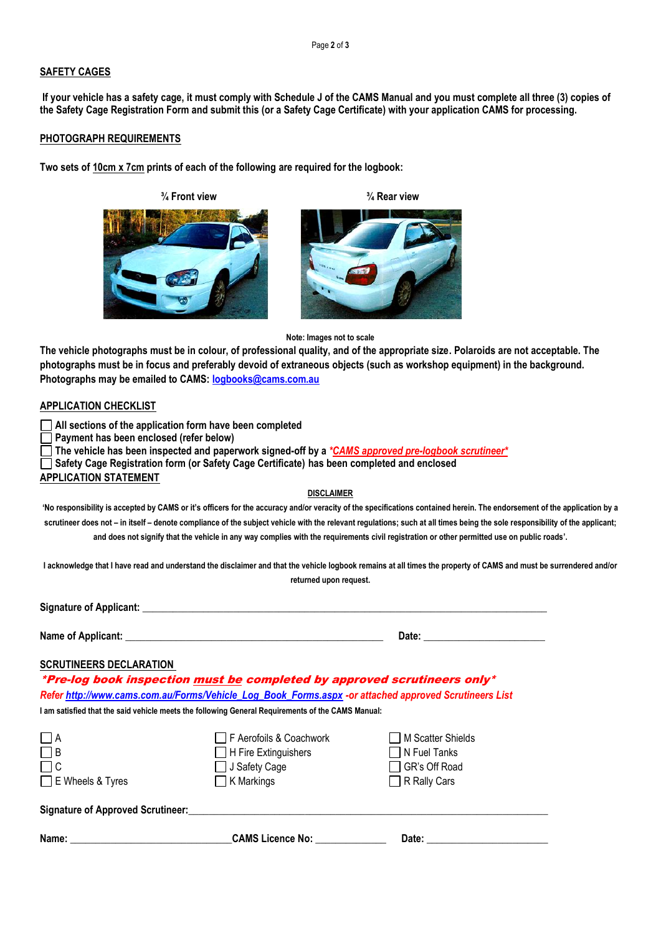Page **2** of **3**

## **SAFETY CAGES**

**If your vehicle has a safety cage, it must comply with Schedule J of the CAMS Manual and you must complete all three (3) copies of the Safety Cage Registration Form and submit this (or a Safety Cage Certificate) with your application CAMS for processing.**

### **PHOTOGRAPH REQUIREMENTS**

**Two sets of 10cm x 7cm prints of each of the following are required for the logbook:** 

 **¾ Front view ¾ Rear view**





#### **Note: Images not to scale**

**The vehicle photographs must be in colour, of professional quality, and of the appropriate size. Polaroids are not acceptable. The photographs must be in focus and preferably devoid of extraneous objects (such as workshop equipment) in the background. Photographs may be emailed to CAMS: [logbooks@cams.com.au](mailto:logbooks@cams.com.au)**

## **APPLICATION CHECKLIST**

**All sections of the application form have been completed**

**Payment has been enclosed (refer below)**

**The vehicle has been inspected and paperwork signed-off by a** *\*CAMS approved pre-logbook scrutineer\**

**Safety Cage Registration form (or Safety Cage Certificate) has been completed and enclosed**

**APPLICATION STATEMENT**

#### **DISCLAIMER**

'No responsibility is accepted by CAMS or it's officers for the accuracy and/or veracity of the specifications contained herein. The endorsement of the application by a **scrutineer does not – in itself – denote compliance of the subject vehicle with the relevant regulations; such at all times being the sole responsibility of the applicant; and does not signify that the vehicle in any way complies with the requirements civil registration or other permitted use on public roads'.**

**I acknowledge that I have read and understand the disclaimer and that the vehicle logbook remains at all times the property of CAMS and must be surrendered and/or returned upon request.**

**Signature of Applicant:**  $\blacksquare$ 

**Name of Applicant: \_\_\_\_\_\_\_\_\_\_\_\_\_\_\_\_\_\_\_\_\_\_\_\_\_\_\_\_\_\_\_\_\_\_\_\_\_\_\_\_\_\_\_\_\_\_\_\_\_\_\_ Date: \_\_\_\_\_\_\_\_\_\_\_\_\_\_\_\_\_\_\_\_\_\_\_\_**

| Date: |  |
|-------|--|
|       |  |

## **SCRUTINEERS DECLARATION**

\*Pre-log book inspection must be completed by approved scrutineers only\* *Refer [http://www.cams.com.au/Forms/Vehicle\\_Log\\_Book\\_Forms.aspx](http://www.cams.com.au/Forms/Vehicle_Log_Book_Forms.aspx) -or attached approved Scrutineers List* 

**I am satisfied that the said vehicle meets the following General Requirements of the CAMS Manual:**

| $\Box$ A                                 | □ F Aerofoils & Coachwork   | M Scatter Shields   |  |
|------------------------------------------|-----------------------------|---------------------|--|
| $\Box$ B                                 | $\Box$ H Fire Extinguishers | $\Box$ N Fuel Tanks |  |
| $\Box$ C                                 | $\Box$ J Safety Cage        | □ GR's Off Road     |  |
| E Wheels & Tyres                         | $\Box$ K Markings           | $\Box$ R Rally Cars |  |
| <b>Signature of Approved Scrutineer:</b> |                             |                     |  |
|                                          |                             |                     |  |

**Name: \_\_\_\_\_\_\_\_\_\_\_\_\_\_\_\_\_\_\_\_\_\_\_\_\_\_\_\_\_\_\_\_CAMS Licence No: \_\_\_\_\_\_\_\_\_\_\_\_\_\_ Date: \_\_\_\_\_\_\_\_\_\_\_\_\_\_\_\_\_\_\_\_\_\_\_\_**